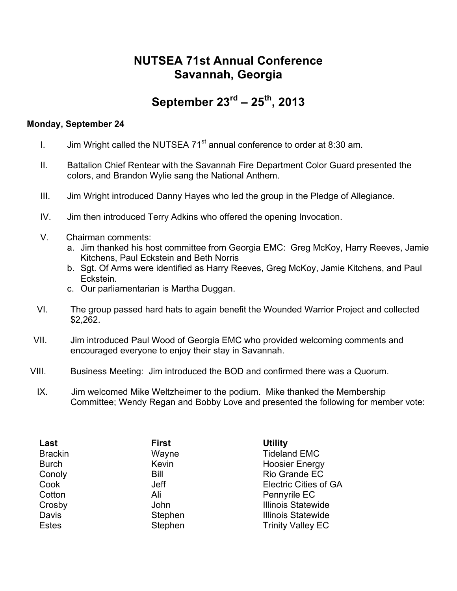## **NUTSEA 71st Annual Conference Savannah, Georgia**

## **September 23rd – 25th, 2013**

## **Monday, September 24**

- I. Jim Wright called the NUTSEA 71 $^{\text{st}}$  annual conference to order at 8:30 am.
- II. Battalion Chief Rentear with the Savannah Fire Department Color Guard presented the colors, and Brandon Wylie sang the National Anthem.
- III. Jim Wright introduced Danny Hayes who led the group in the Pledge of Allegiance.
- IV. Jim then introduced Terry Adkins who offered the opening Invocation.
- V.Chairman comments:
	- a. Jim thanked his host committee from Georgia EMC: Greg McKoy, Harry Reeves, Jamie Kitchens, Paul Eckstein and Beth Norris
	- b. Sgt. Of Arms were identified as Harry Reeves, Greg McKoy, Jamie Kitchens, and Paul Eckstein.
	- c. Our parliamentarian is Martha Duggan.
- VI. The group passed hard hats to again benefit the Wounded Warrior Project and collected \$2,262.
- VII. Jim introduced Paul Wood of Georgia EMC who provided welcoming comments and encouraged everyone to enjoy their stay in Savannah.
- VIII. Business Meeting: Jim introduced the BOD and confirmed there was a Quorum.
- IX. Jim welcomed Mike Weltzheimer to the podium. Mike thanked the Membership Committee; Wendy Regan and Bobby Love and presented the following for member vote:

| <b>First</b><br>Wayne<br>Kevin<br>Bill<br>Jeff<br>Ali<br>John<br>Stephen | <b>Utility</b><br><b>Tideland EMC</b><br><b>Hoosier Energy</b><br>Rio Grande EC<br><b>Electric Cities of GA</b><br>Pennyrile EC<br><b>Illinois Statewide</b><br><b>Illinois Statewide</b> |
|--------------------------------------------------------------------------|-------------------------------------------------------------------------------------------------------------------------------------------------------------------------------------------|
| Stephen                                                                  | <b>Trinity Valley EC</b>                                                                                                                                                                  |
|                                                                          |                                                                                                                                                                                           |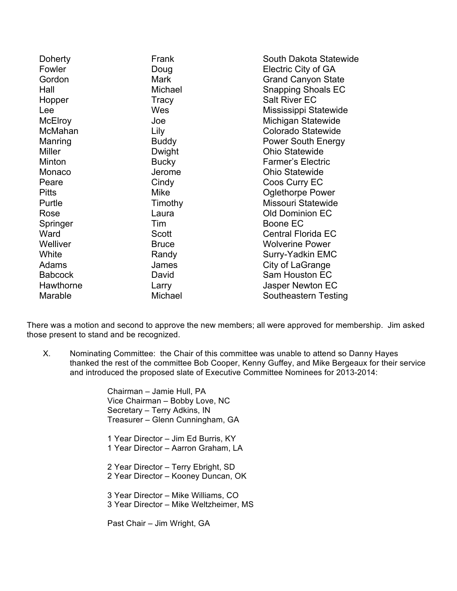| Doherty        | Frank        | South Dakota Statewide    |
|----------------|--------------|---------------------------|
| Fowler         | Doug         | Electric City of GA       |
| Gordon         | <b>Mark</b>  | <b>Grand Canyon State</b> |
| Hall           | Michael      | <b>Snapping Shoals EC</b> |
| Hopper         | Tracy        | <b>Salt River EC</b>      |
| Lee            | Wes          | Mississippi Statewide     |
| <b>McElroy</b> | Joe          | Michigan Statewide        |
| McMahan        | Lily         | Colorado Statewide        |
| Manring        | <b>Buddy</b> | <b>Power South Energy</b> |
| <b>Miller</b>  | Dwight       | <b>Ohio Statewide</b>     |
| Minton         | <b>Bucky</b> | <b>Farmer's Electric</b>  |
| Monaco         | Jerome       | <b>Ohio Statewide</b>     |
| Peare          | Cindy        | Coos Curry EC             |
| <b>Pitts</b>   | Mike         | <b>Oglethorpe Power</b>   |
| Purtle         | Timothy      | Missouri Statewide        |
| Rose           | Laura        | <b>Old Dominion EC</b>    |
| Springer       | Tim          | Boone EC                  |
| Ward           | <b>Scott</b> | <b>Central Florida EC</b> |
| Welliver       | <b>Bruce</b> | <b>Wolverine Power</b>    |
| White          | Randy        | Surry-Yadkin EMC          |
| Adams          | James        | City of LaGrange          |
| <b>Babcock</b> | David        | Sam Houston EC            |
| Hawthorne      | Larry        | Jasper Newton EC          |
| Marable        | Michael      | Southeastern Testing      |

There was a motion and second to approve the new members; all were approved for membership. Jim asked those present to stand and be recognized.

X. Nominating Committee: the Chair of this committee was unable to attend so Danny Hayes thanked the rest of the committee Bob Cooper, Kenny Guffey, and Mike Bergeaux for their service and introduced the proposed slate of Executive Committee Nominees for 2013-2014:

> Chairman – Jamie Hull, PA Vice Chairman – Bobby Love, NC Secretary – Terry Adkins, IN Treasurer – Glenn Cunningham, GA

1 Year Director – Jim Ed Burris, KY 1 Year Director – Aarron Graham, LA

2 Year Director – Terry Ebright, SD 2 Year Director – Kooney Duncan, OK

3 Year Director – Mike Williams, CO 3 Year Director – Mike Weltzheimer, MS

Past Chair – Jim Wright, GA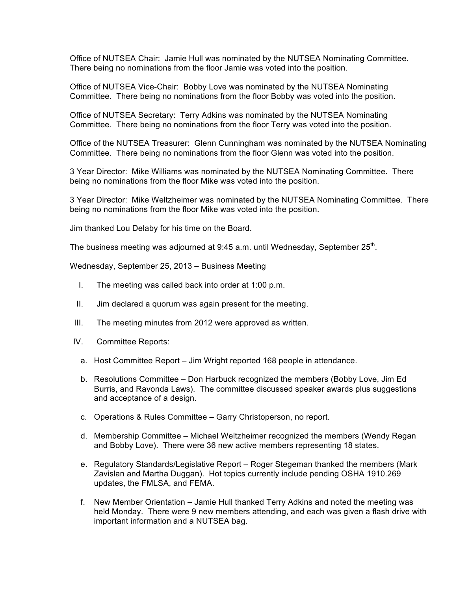Office of NUTSEA Chair: Jamie Hull was nominated by the NUTSEA Nominating Committee. There being no nominations from the floor Jamie was voted into the position.

Office of NUTSEA Vice-Chair: Bobby Love was nominated by the NUTSEA Nominating Committee. There being no nominations from the floor Bobby was voted into the position.

Office of NUTSEA Secretary: Terry Adkins was nominated by the NUTSEA Nominating Committee. There being no nominations from the floor Terry was voted into the position.

Office of the NUTSEA Treasurer: Glenn Cunningham was nominated by the NUTSEA Nominating Committee. There being no nominations from the floor Glenn was voted into the position.

3 Year Director: Mike Williams was nominated by the NUTSEA Nominating Committee. There being no nominations from the floor Mike was voted into the position.

3 Year Director: Mike Weltzheimer was nominated by the NUTSEA Nominating Committee. There being no nominations from the floor Mike was voted into the position.

Jim thanked Lou Delaby for his time on the Board.

The business meeting was adjourned at 9:45 a.m. until Wednesday, September  $25<sup>th</sup>$ .

Wednesday, September 25, 2013 – Business Meeting

- I. The meeting was called back into order at 1:00 p.m.
- II. Jim declared a quorum was again present for the meeting.
- III. The meeting minutes from 2012 were approved as written.
- IV. Committee Reports:
	- a. Host Committee Report Jim Wright reported 168 people in attendance.
	- b. Resolutions Committee Don Harbuck recognized the members (Bobby Love, Jim Ed Burris, and Ravonda Laws). The committee discussed speaker awards plus suggestions and acceptance of a design.
	- c. Operations & Rules Committee Garry Christoperson, no report.
	- d. Membership Committee Michael Weltzheimer recognized the members (Wendy Regan and Bobby Love). There were 36 new active members representing 18 states.
	- e. Regulatory Standards/Legislative Report Roger Stegeman thanked the members (Mark Zavislan and Martha Duggan). Hot topics currently include pending OSHA 1910.269 updates, the FMLSA, and FEMA.
	- f. New Member Orientation Jamie Hull thanked Terry Adkins and noted the meeting was held Monday. There were 9 new members attending, and each was given a flash drive with important information and a NUTSEA bag.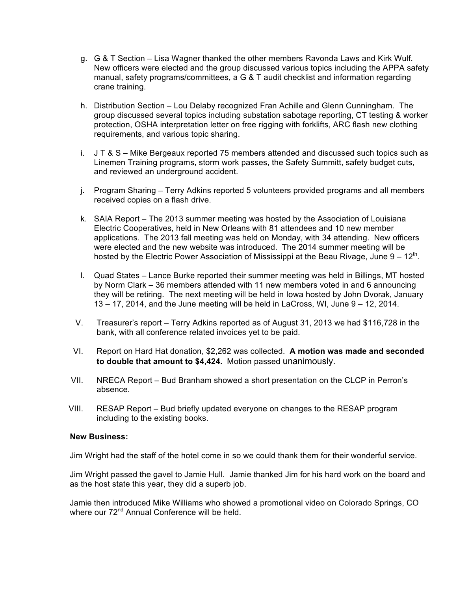- g. G & T Section Lisa Wagner thanked the other members Ravonda Laws and Kirk Wulf. New officers were elected and the group discussed various topics including the APPA safety manual, safety programs/committees, a G & T audit checklist and information regarding crane training.
- h. Distribution Section Lou Delaby recognized Fran Achille and Glenn Cunningham. The group discussed several topics including substation sabotage reporting, CT testing & worker protection, OSHA interpretation letter on free rigging with forklifts, ARC flash new clothing requirements, and various topic sharing.
- i. J T & S Mike Bergeaux reported 75 members attended and discussed such topics such as Linemen Training programs, storm work passes, the Safety Summitt, safety budget cuts, and reviewed an underground accident.
- j. Program Sharing Terry Adkins reported 5 volunteers provided programs and all members received copies on a flash drive.
- k. SAIA Report The 2013 summer meeting was hosted by the Association of Louisiana Electric Cooperatives, held in New Orleans with 81 attendees and 10 new member applications. The 2013 fall meeting was held on Monday, with 34 attending. New officers were elected and the new website was introduced. The 2014 summer meeting will be hosted by the Electric Power Association of Mississippi at the Beau Rivage, June  $9 - 12<sup>th</sup>$ .
- l. Quad States Lance Burke reported their summer meeting was held in Billings, MT hosted by Norm Clark – 36 members attended with 11 new members voted in and 6 announcing they will be retiring. The next meeting will be held in Iowa hosted by John Dvorak, January 13 – 17, 2014, and the June meeting will be held in LaCross, WI, June 9 – 12, 2014.
- V. Treasurer's report Terry Adkins reported as of August 31, 2013 we had \$116,728 in the bank, with all conference related invoices yet to be paid.
- VI. Report on Hard Hat donation, \$2,262 was collected. **A motion was made and seconded to double that amount to \$4,424.** Motion passed unanimously.
- VII. NRECA Report Bud Branham showed a short presentation on the CLCP in Perron's absence.
- VIII. RESAP Report Bud briefly updated everyone on changes to the RESAP program including to the existing books.

## **New Business:**

Jim Wright had the staff of the hotel come in so we could thank them for their wonderful service.

Jim Wright passed the gavel to Jamie Hull. Jamie thanked Jim for his hard work on the board and as the host state this year, they did a superb job.

Jamie then introduced Mike Williams who showed a promotional video on Colorado Springs, CO where our 72<sup>nd</sup> Annual Conference will be held.